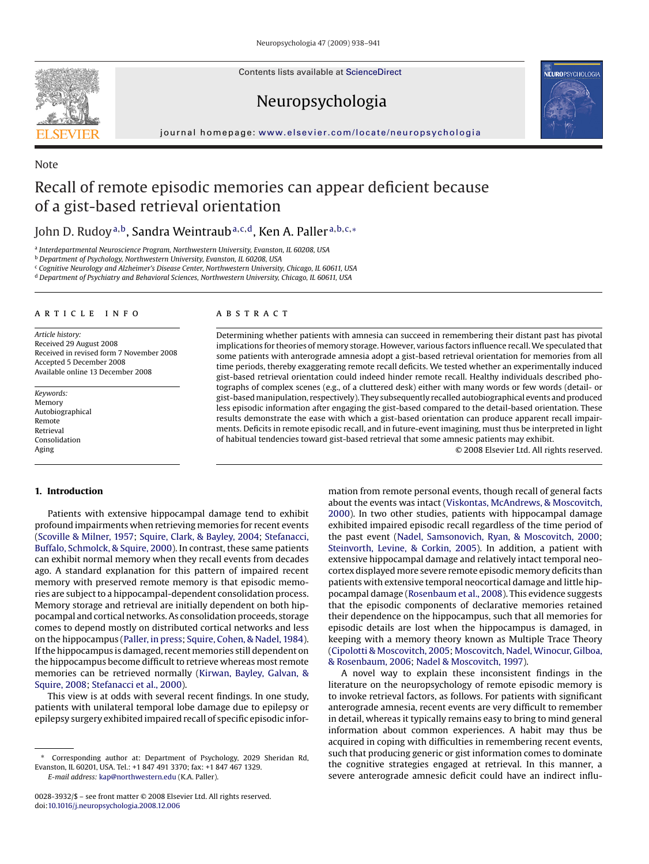Contents lists available at [ScienceDirect](http://www.sciencedirect.com/science/journal/00283932)

## Neuropsychologia



journal homepage: [www.elsevier.com/locate/neuropsychologia](http://www.elsevier.com/locate/neuropsychologia)

# Recall of remote episodic memories can appear deficient because of a gist-based retrieval orientation

### John D. Rudoy<sup>a, b</sup>, Sandra Weintraub<sup>a, c, d</sup>, Ken A. Paller<sup>a, b, c,∗</sup>

<sup>a</sup> *Interdepartmental Neuroscience Program, Northwestern University, Evanston, IL 60208, USA*

<sup>b</sup> *Department of Psychology, Northwestern University, Evanston, IL 60208, USA*

<sup>c</sup> *Cognitive Neurology and Alzheimer's Disease Center, Northwestern University, Chicago, IL 60611, USA*

<sup>d</sup> *Department of Psychiatry and Behavioral Sciences, Northwestern University, Chicago, IL 60611, USA*

#### article info

*Article history:* Received 29 August 2008 Received in revised form 7 November 2008 Accepted 5 December 2008 Available online 13 December 2008

*Keywords:* **Memory** Autobiographical Remote Retrieval Consolidation Aging

#### ABSTRACT

Determining whether patients with amnesia can succeed in remembering their distant past has pivotal implications for theories of memory storage. However, various factors influence recall. We speculated that some patients with anterograde amnesia adopt a gist-based retrieval orientation for memories from all time periods, thereby exaggerating remote recall deficits. We tested whether an experimentally induced gist-based retrieval orientation could indeed hinder remote recall. Healthy individuals described photographs of complex scenes (e.g., of a cluttered desk) either with many words or few words (detail- or gist-based manipulation, respectively). They subsequently recalled autobiographical events and produced less episodic information after engaging the gist-based compared to the detail-based orientation. These results demonstrate the ease with which a gist-based orientation can produce apparent recall impairments. Deficits in remote episodic recall, and in future-event imagining, must thus be interpreted in light of habitual tendencies toward gist-based retrieval that some amnesic patients may exhibit.

© 2008 Elsevier Ltd. All rights reserved.

#### **1. Introduction**

Patients with extensive hippocampal damage tend to exhibit profound impairments when retrieving memories for recent events ([Scoville & Milner, 1957;](#page-3-0) [Squire, Clark, & Bayley, 2004;](#page-3-0) [Stefanacci,](#page-3-0) [Buffalo, Schmolck, & Squire, 2000\).](#page-3-0) In contrast, these same patients can exhibit normal memory when they recall events from decades ago. A standard explanation for this pattern of impaired recent memory with preserved remote memory is that episodic memories are subject to a hippocampal-dependent consolidation process. Memory storage and retrieval are initially dependent on both hippocampal and cortical networks. As consolidation proceeds, storage comes to depend mostly on distributed cortical networks and less on the hippocampus ([Paller, in press;](#page-3-0) [Squire, Cohen, & Nadel, 1984\).](#page-3-0) If the hippocampus is damaged, recent memories still dependent on the hippocampus become difficult to retrieve whereas most remote memories can be retrieved normally ([Kirwan, Bayley, Galvan, &](#page-3-0) [Squire, 2008;](#page-3-0) [Stefanacci et al., 2000\).](#page-3-0)

This view is at odds with several recent findings. In one study, patients with unilateral temporal lobe damage due to epilepsy or epilepsy surgery exhibited impaired recall of specific episodic infor-

*E-mail address:* [kap@northwestern.edu](mailto:kap@northwestern.edu) (K.A. Paller).

mation from remote personal events, though recall of general facts about the events was intact ([Viskontas, McAndrews, & Moscovitch,](#page-3-0) [2000\).](#page-3-0) In two other studies, patients with hippocampal damage exhibited impaired episodic recall regardless of the time period of the past event ([Nadel, Samsonovich, Ryan, & Moscovitch, 2000;](#page-3-0) [Steinvorth, Levine, & Corkin, 2005\).](#page-3-0) In addition, a patient with extensive hippocampal damage and relatively intact temporal neocortex displayed more severe remote episodic memory deficits than patients with extensive temporal neocortical damage and little hippocampal damage ([Rosenbaum et al., 2008\).](#page-3-0) This evidence suggests that the episodic components of declarative memories retained their dependence on the hippocampus, such that all memories for episodic details are lost when the hippocampus is damaged, in keeping with a memory theory known as Multiple Trace Theory [\(Cipolotti & Moscovitch, 2005;](#page-3-0) [Moscovitch, Nadel, Winocur, Gilboa,](#page-3-0) [& Rosenbaum, 2006;](#page-3-0) [Nadel & Moscovitch, 1997\).](#page-3-0)

A novel way to explain these inconsistent findings in the literature on the neuropsychology of remote episodic memory is to invoke retrieval factors, as follows. For patients with significant anterograde amnesia, recent events are very difficult to remember in detail, whereas it typically remains easy to bring to mind general information about common experiences. A habit may thus be acquired in coping with difficulties in remembering recent events, such that producing generic or gist information comes to dominate the cognitive strategies engaged at retrieval. In this manner, a severe anterograde amnesic deficit could have an indirect influ-



Note

<sup>∗</sup> Corresponding author at: Department of Psychology, 2029 Sheridan Rd, Evanston, IL 60201, USA. Tel.: +1 847 491 3370; fax: +1 847 467 1329.

<sup>0028-3932/\$ –</sup> see front matter © 2008 Elsevier Ltd. All rights reserved. doi:[10.1016/j.neuropsychologia.2008.12.006](dx.doi.org/10.1016/j.neuropsychologia.2008.12.006)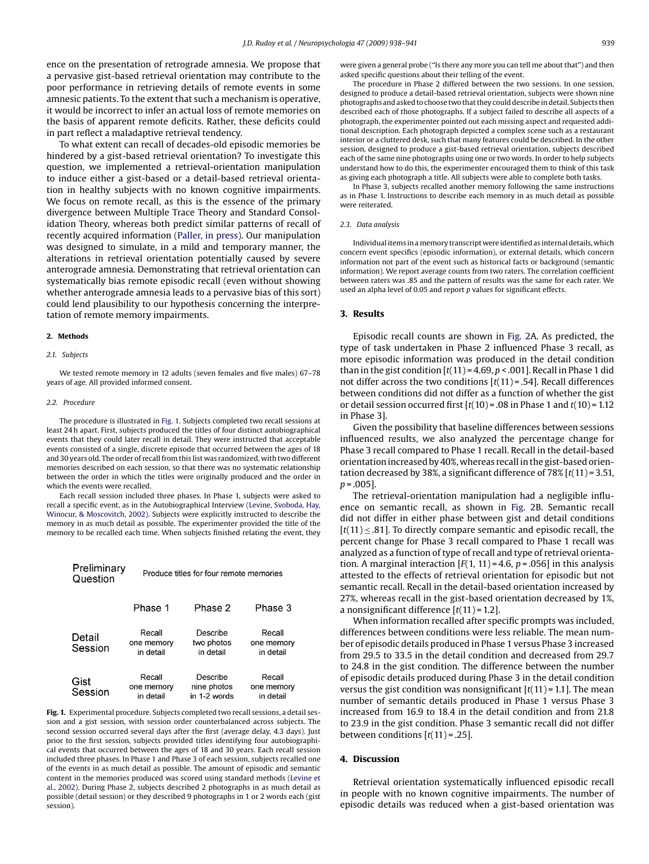ence on the presentation of retrograde amnesia. We propose that a pervasive gist-based retrieval orientation may contribute to the poor performance in retrieving details of remote events in some amnesic patients. To the extent that such a mechanism is operative, it would be incorrect to infer an actual loss of remote memories on the basis of apparent remote deficits. Rather, these deficits could in part reflect a maladaptive retrieval tendency.

To what extent can recall of decades-old episodic memories be hindered by a gist-based retrieval orientation? To investigate this question, we implemented a retrieval-orientation manipulation to induce either a gist-based or a detail-based retrieval orientation in healthy subjects with no known cognitive impairments. We focus on remote recall, as this is the essence of the primary divergence between Multiple Trace Theory and Standard Consolidation Theory, whereas both predict similar patterns of recall of recently acquired information ([Paller, in press\).](#page-3-0) Our manipulation was designed to simulate, in a mild and temporary manner, the alterations in retrieval orientation potentially caused by severe anterograde amnesia. Demonstrating that retrieval orientation can systematically bias remote episodic recall (even without showing whether anterograde amnesia leads to a pervasive bias of this sort) could lend plausibility to our hypothesis concerning the interpretation of remote memory impairments.

#### **2. Methods**

#### *2.1. Subjects*

We tested remote memory in 12 adults (seven females and five males) 67–78 years of age. All provided informed consent.

#### *2.2. Procedure*

The procedure is illustrated in Fig. 1. Subjects completed two recall sessions at least 24 h apart. First, subjects produced the titles of four distinct autobiographical events that they could later recall in detail. They were instructed that acceptable events consisted of a single, discrete episode that occurred between the ages of 18 and 30 years old. The order of recall from this list was randomized, with two different memories described on each session, so that there was no systematic relationship between the order in which the titles were originally produced and the order in which the events were recalled.

Each recall session included three phases. In Phase 1, subjects were asked to recall a specific event, as in the Autobiographical Interview [\(Levine, Svoboda, Hay,](#page-3-0) [Winocur, & Moscovitch, 2002\).](#page-3-0) Subjects were explicitly instructed to describe the memory in as much detail as possible. The experimenter provided the title of the memory to be recalled each time. When subjects finished relating the event, they

| Preliminary<br>Question | Produce titles for four remote memories |                                         |                                   |
|-------------------------|-----------------------------------------|-----------------------------------------|-----------------------------------|
|                         | Phase 1                                 | Phase 2                                 | Phase 3                           |
| Detail<br>Session       | Recall<br>one memory<br>in detail       | Describe<br>two photos<br>in detail     | Recall<br>one memory<br>in detail |
| Gist<br>Session         | Recall<br>one memory<br>in detail       | Describe<br>nine photos<br>in 1-2 words | Recall<br>one memory<br>in detail |

Fig. 1. Experimental procedure. Subjects completed two recall sessions, a detail session and a gist session, with session order counterbalanced across subjects. The second session occurred several days after the first (average delay, 4.3 days). Just prior to the first session, subjects provided titles identifying four autobiographical events that occurred between the ages of 18 and 30 years. Each recall session included three phases. In Phase 1 and Phase 3 of each session, subjects recalled one of the events in as much detail as possible. The amount of episodic and semantic content in the memories produced was scored using standard methods [\(Levine et](#page-3-0) [al., 2002\).](#page-3-0) During Phase 2, subjects described 2 photographs in as much detail as possible (detail session) or they described 9 photographs in 1 or 2 words each (gist session).

were given a general probe ("Is there any more you can tell me about that") and then asked specific questions about their telling of the event.

The procedure in Phase 2 differed between the two sessions. In one session, designed to produce a detail-based retrieval orientation, subjects were shown nine photographs and asked to choose two that they could describe in detail. Subjects then described each of those photographs. If a subject failed to describe all aspects of a photograph, the experimenter pointed out each missing aspect and requested additional description. Each photograph depicted a complex scene such as a restaurant interior or a cluttered desk, such that many features could be described. In the other session, designed to produce a gist-based retrieval orientation, subjects described each of the same nine photographs using one or two words. In order to help subjects understand how to do this, the experimenter encouraged them to think of this task as giving each photograph a title. All subjects were able to complete both tasks.

In Phase 3, subjects recalled another memory following the same instructions as in Phase 1. Instructions to describe each memory in as much detail as possible were reiterated.

#### *2.3. Data analysis*

Individual items in amemory transcript were identified as internal details, which concern event specifics (episodic information), or external details, which concern information not part of the event such as historical facts or background (semantic information). We report average counts from two raters. The correlation coefficient between raters was .85 and the pattern of results was the same for each rater. We used an alpha level of 0.05 and report *p* values for significant effects.

#### **3. Results**

Episodic recall counts are shown in [Fig. 2A](#page-2-0). As predicted, the type of task undertaken in Phase 2 influenced Phase 3 recall, as more episodic information was produced in the detail condition than in the gist condition  $[t(11) = 4.69, p < .001]$ . Recall in Phase 1 did not differ across the two conditions [*t*(11) = .54]. Recall differences between conditions did not differ as a function of whether the gist or detail session occurred first [*t*(10) = .08 in Phase 1 and *t*(10) = 1.12 in Phase 3].

Given the possibility that baseline differences between sessions influenced results, we also analyzed the percentage change for Phase 3 recall compared to Phase 1 recall. Recall in the detail-based orientation increased by 40%, whereas recall in the gist-based orientation decreased by 38%, a significant difference of 78% [*t*(11) = 3.51,  $p = .005$ ].

The retrieval-orientation manipulation had a negligible influence on semantic recall, as shown in [Fig. 2B](#page-2-0). Semantic recall did not differ in either phase between gist and detail conditions  $[t(11) \leq .81]$ . To directly compare semantic and episodic recall, the percent change for Phase 3 recall compared to Phase 1 recall was analyzed as a function of type of recall and type of retrieval orientation. A marginal interaction  $[F(1, 11) = 4.6, p = .056]$  in this analysis attested to the effects of retrieval orientation for episodic but not semantic recall. Recall in the detail-based orientation increased by 27%, whereas recall in the gist-based orientation decreased by 1%, a nonsignificant difference [*t*(11) = 1.2].

When information recalled after specific prompts was included, differences between conditions were less reliable. The mean number of episodic details produced in Phase 1 versus Phase 3 increased from 29.5 to 33.5 in the detail condition and decreased from 29.7 to 24.8 in the gist condition. The difference between the number of episodic details produced during Phase 3 in the detail condition versus the gist condition was nonsignificant  $[t(11) = 1.1]$ . The mean number of semantic details produced in Phase 1 versus Phase 3 increased from 16.9 to 18.4 in the detail condition and from 21.8 to 23.9 in the gist condition. Phase 3 semantic recall did not differ between conditions [*t*(11) = .25].

#### **4. Discussion**

Retrieval orientation systematically influenced episodic recall in people with no known cognitive impairments. The number of episodic details was reduced when a gist-based orientation was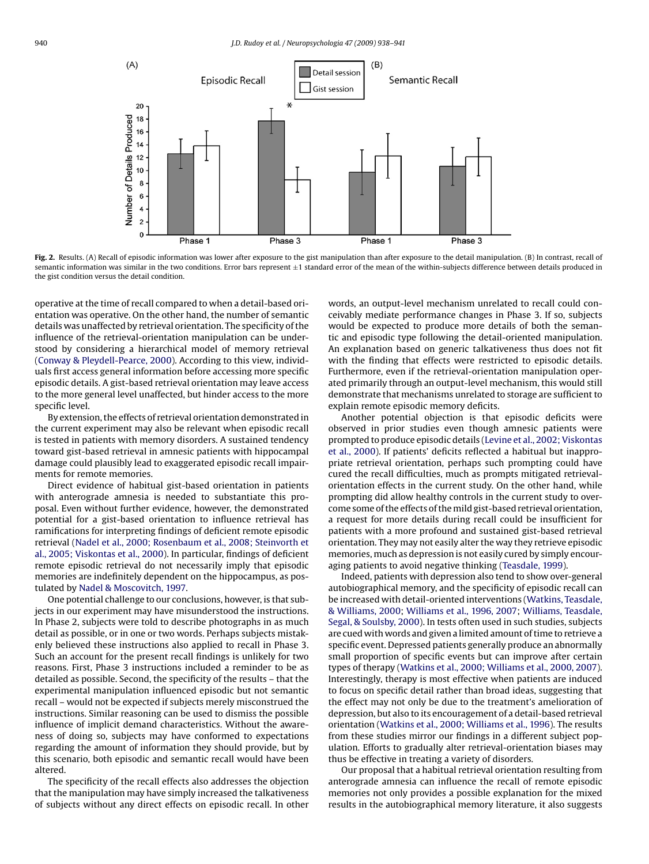<span id="page-2-0"></span>

Fig. 2. Results. (A) Recall of episodic information was lower after exposure to the gist manipulation than after exposure to the detail manipulation. (B) In contrast, recall of semantic information was similar in the two conditions. Error bars represent  $\pm 1$  standard error of the mean of the within-subjects difference between details produced in the gist condition versus the detail condition.

operative at the time of recall compared to when a detail-based orientation was operative. On the other hand, the number of semantic details was unaffected by retrieval orientation. The specificity of the influence of the retrieval-orientation manipulation can be understood by considering a hierarchical model of memory retrieval ([Conway & Pleydell-Pearce, 2000\).](#page-3-0) According to this view, individuals first access general information before accessing more specific episodic details. A gist-based retrieval orientation may leave access to the more general level unaffected, but hinder access to the more specific level.

By extension, the effects of retrieval orientation demonstrated in the current experiment may also be relevant when episodic recall is tested in patients with memory disorders. A sustained tendency toward gist-based retrieval in amnesic patients with hippocampal damage could plausibly lead to exaggerated episodic recall impairments for remote memories.

Direct evidence of habitual gist-based orientation in patients with anterograde amnesia is needed to substantiate this proposal. Even without further evidence, however, the demonstrated potential for a gist-based orientation to influence retrieval has ramifications for interpreting findings of deficient remote episodic retrieval [\(Nadel et al., 2000; Rosenbaum et al., 2008; Steinvorth et](#page-3-0) [al., 2005; Viskontas et al., 2000\).](#page-3-0) In particular, findings of deficient remote episodic retrieval do not necessarily imply that episodic memories are indefinitely dependent on the hippocampus, as postulated by [Nadel & Moscovitch, 1997.](#page-3-0)

One potential challenge to our conclusions, however, is that subjects in our experiment may have misunderstood the instructions. In Phase 2, subjects were told to describe photographs in as much detail as possible, or in one or two words. Perhaps subjects mistakenly believed these instructions also applied to recall in Phase 3. Such an account for the present recall findings is unlikely for two reasons. First, Phase 3 instructions included a reminder to be as detailed as possible. Second, the specificity of the results – that the experimental manipulation influenced episodic but not semantic recall – would not be expected if subjects merely misconstrued the instructions. Similar reasoning can be used to dismiss the possible influence of implicit demand characteristics. Without the awareness of doing so, subjects may have conformed to expectations regarding the amount of information they should provide, but by this scenario, both episodic and semantic recall would have been altered.

The specificity of the recall effects also addresses the objection that the manipulation may have simply increased the talkativeness of subjects without any direct effects on episodic recall. In other words, an output-level mechanism unrelated to recall could conceivably mediate performance changes in Phase 3. If so, subjects would be expected to produce more details of both the semantic and episodic type following the detail-oriented manipulation. An explanation based on generic talkativeness thus does not fit with the finding that effects were restricted to episodic details. Furthermore, even if the retrieval-orientation manipulation operated primarily through an output-level mechanism, this would still demonstrate that mechanisms unrelated to storage are sufficient to explain remote episodic memory deficits.

Another potential objection is that episodic deficits were observed in prior studies even though amnesic patients were prompted to produce episodic details [\(Levine et al., 2002; Viskontas](#page-3-0) [et al., 2000\).](#page-3-0) If patients' deficits reflected a habitual but inappropriate retrieval orientation, perhaps such prompting could have cured the recall difficulties, much as prompts mitigated retrievalorientation effects in the current study. On the other hand, while prompting did allow healthy controls in the current study to overcome some of the effects of the mild gist-based retrieval orientation, a request for more details during recall could be insufficient for patients with a more profound and sustained gist-based retrieval orientation. They may not easily alter the way they retrieve episodic memories, much as depression is not easily cured by simply encouraging patients to avoid negative thinking [\(Teasdale, 1999\).](#page-3-0)

Indeed, patients with depression also tend to show over-general autobiographical memory, and the specificity of episodic recall can be increased with detail-oriented interventions ([Watkins, Teasdale,](#page-3-0) [& Williams, 2000;](#page-3-0) [Williams et al., 1996, 2007;](#page-3-0) [Williams, Teasdale,](#page-3-0) [Segal, & Soulsby, 2000\).](#page-3-0) In tests often used in such studies, subjects are cued with words and given a limited amount of time to retrieve a specific event. Depressed patients generally produce an abnormally small proportion of specific events but can improve after certain types of therapy ([Watkins et al., 2000; Williams et al., 2000, 2007\).](#page-3-0) Interestingly, therapy is most effective when patients are induced to focus on specific detail rather than broad ideas, suggesting that the effect may not only be due to the treatment's amelioration of depression, but also to its encouragement of a detail-based retrieval orientation ([Watkins et al., 2000; Williams et al., 1996\).](#page-3-0) The results from these studies mirror our findings in a different subject population. Efforts to gradually alter retrieval-orientation biases may thus be effective in treating a variety of disorders.

Our proposal that a habitual retrieval orientation resulting from anterograde amnesia can influence the recall of remote episodic memories not only provides a possible explanation for the mixed results in the autobiographical memory literature, it also suggests